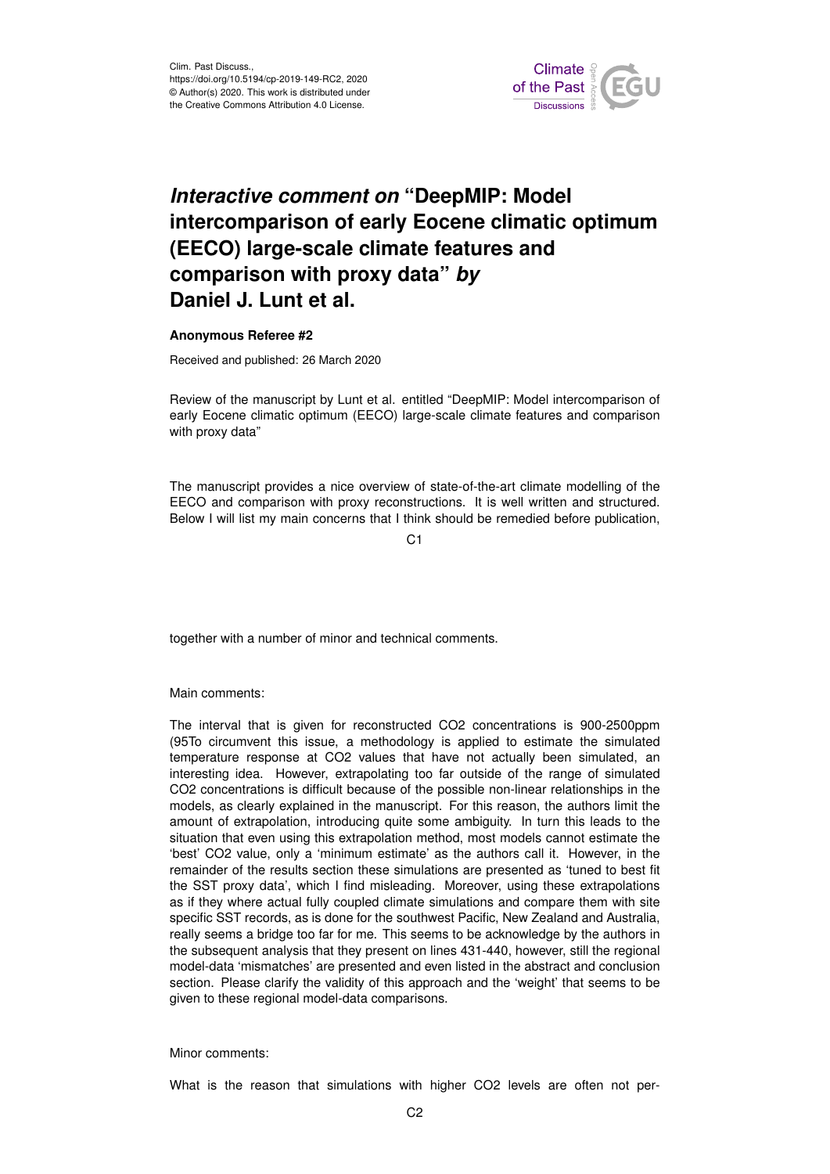

## *Interactive comment on* **"DeepMIP: Model intercomparison of early Eocene climatic optimum (EECO) large-scale climate features and comparison with proxy data"** *by* **Daniel J. Lunt et al.**

## **Anonymous Referee #2**

Received and published: 26 March 2020

Review of the manuscript by Lunt et al. entitled "DeepMIP: Model intercomparison of early Eocene climatic optimum (EECO) large-scale climate features and comparison with proxy data"

The manuscript provides a nice overview of state-of-the-art climate modelling of the EECO and comparison with proxy reconstructions. It is well written and structured. Below I will list my main concerns that I think should be remedied before publication,

 $C<sub>1</sub>$ 

together with a number of minor and technical comments.

Main comments:

The interval that is given for reconstructed CO2 concentrations is 900-2500ppm (95To circumvent this issue, a methodology is applied to estimate the simulated temperature response at CO2 values that have not actually been simulated, an interesting idea. However, extrapolating too far outside of the range of simulated CO2 concentrations is difficult because of the possible non-linear relationships in the models, as clearly explained in the manuscript. For this reason, the authors limit the amount of extrapolation, introducing quite some ambiguity. In turn this leads to the situation that even using this extrapolation method, most models cannot estimate the 'best' CO2 value, only a 'minimum estimate' as the authors call it. However, in the remainder of the results section these simulations are presented as 'tuned to best fit the SST proxy data', which I find misleading. Moreover, using these extrapolations as if they where actual fully coupled climate simulations and compare them with site specific SST records, as is done for the southwest Pacific, New Zealand and Australia, really seems a bridge too far for me. This seems to be acknowledge by the authors in the subsequent analysis that they present on lines 431-440, however, still the regional model-data 'mismatches' are presented and even listed in the abstract and conclusion section. Please clarify the validity of this approach and the 'weight' that seems to be given to these regional model-data comparisons.

## Minor comments:

What is the reason that simulations with higher CO2 levels are often not per-